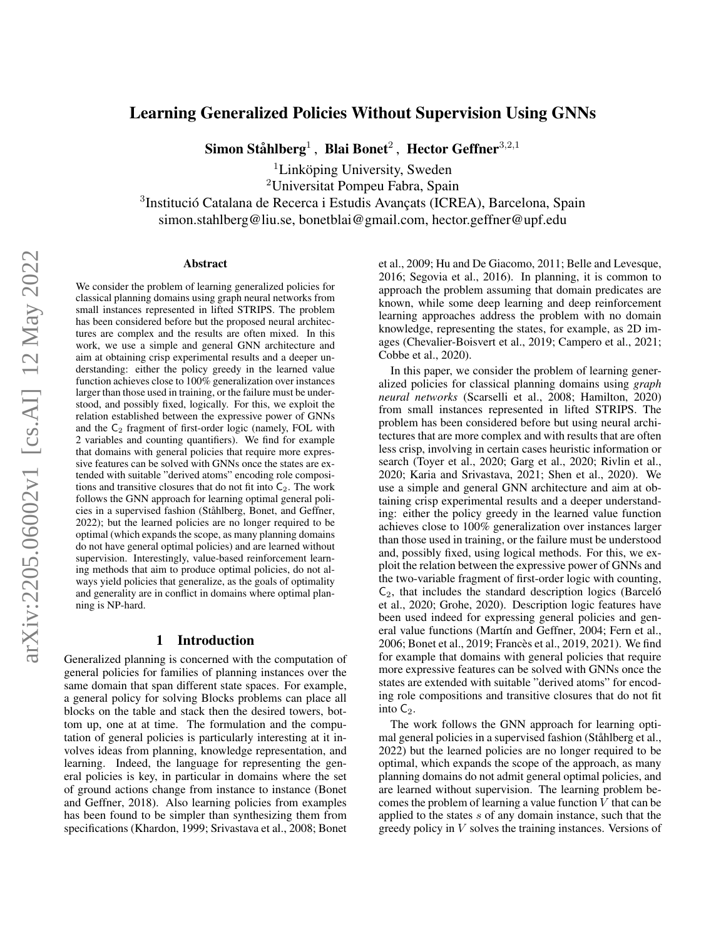# Learning Generalized Policies Without Supervision Using GNNs

Simon Ståhlberg $^1$  , Blai Bonet $^2$  , Hector Geffner $^{3,2,1}$ 

 ${}^{1}$ Linköping University, Sweden

<sup>2</sup>Universitat Pompeu Fabra, Spain

<sup>3</sup>Institució Catalana de Recerca i Estudis Avançats (ICREA), Barcelona, Spain

simon.stahlberg@liu.se, bonetblai@gmail.com, hector.geffner@upf.edu

#### Abstract

We consider the problem of learning generalized policies for classical planning domains using graph neural networks from small instances represented in lifted STRIPS. The problem has been considered before but the proposed neural architectures are complex and the results are often mixed. In this work, we use a simple and general GNN architecture and aim at obtaining crisp experimental results and a deeper understanding: either the policy greedy in the learned value function achieves close to 100% generalization over instances larger than those used in training, or the failure must be understood, and possibly fixed, logically. For this, we exploit the relation established between the expressive power of GNNs and the  $C_2$  fragment of first-order logic (namely, FOL with 2 variables and counting quantifiers). We find for example that domains with general policies that require more expressive features can be solved with GNNs once the states are extended with suitable "derived atoms" encoding role compositions and transitive closures that do not fit into  $C_2$ . The work follows the GNN approach for learning optimal general policies in a supervised fashion (Ståhlberg, Bonet, and Geffner, 2022); but the learned policies are no longer required to be optimal (which expands the scope, as many planning domains do not have general optimal policies) and are learned without supervision. Interestingly, value-based reinforcement learning methods that aim to produce optimal policies, do not always yield policies that generalize, as the goals of optimality and generality are in conflict in domains where optimal planning is NP-hard.

# 1 Introduction

Generalized planning is concerned with the computation of general policies for families of planning instances over the same domain that span different state spaces. For example, a general policy for solving Blocks problems can place all blocks on the table and stack then the desired towers, bottom up, one at at time. The formulation and the computation of general policies is particularly interesting at it involves ideas from planning, knowledge representation, and learning. Indeed, the language for representing the general policies is key, in particular in domains where the set of ground actions change from instance to instance (Bonet and Geffner, 2018). Also learning policies from examples has been found to be simpler than synthesizing them from specifications (Khardon, 1999; Srivastava et al., 2008; Bonet et al., 2009; Hu and De Giacomo, 2011; Belle and Levesque, 2016; Segovia et al., 2016). In planning, it is common to approach the problem assuming that domain predicates are known, while some deep learning and deep reinforcement learning approaches address the problem with no domain knowledge, representing the states, for example, as 2D images (Chevalier-Boisvert et al., 2019; Campero et al., 2021; Cobbe et al., 2020).

In this paper, we consider the problem of learning generalized policies for classical planning domains using *graph neural networks* (Scarselli et al., 2008; Hamilton, 2020) from small instances represented in lifted STRIPS. The problem has been considered before but using neural architectures that are more complex and with results that are often less crisp, involving in certain cases heuristic information or search (Toyer et al., 2020; Garg et al., 2020; Rivlin et al., 2020; Karia and Srivastava, 2021; Shen et al., 2020). We use a simple and general GNN architecture and aim at obtaining crisp experimental results and a deeper understanding: either the policy greedy in the learned value function achieves close to 100% generalization over instances larger than those used in training, or the failure must be understood and, possibly fixed, using logical methods. For this, we exploit the relation between the expressive power of GNNs and the two-variable fragment of first-order logic with counting,  $C<sub>2</sub>$ , that includes the standard description logics (Barceló et al., 2020; Grohe, 2020). Description logic features have been used indeed for expressing general policies and general value functions (Martín and Geffner, 2004; Fern et al., 2006; Bonet et al., 2019; Francès et al., 2019, 2021). We find for example that domains with general policies that require more expressive features can be solved with GNNs once the states are extended with suitable "derived atoms" for encoding role compositions and transitive closures that do not fit into  $C_2$ .

The work follows the GNN approach for learning optimal general policies in a supervised fashion (Ståhlberg et al., 2022) but the learned policies are no longer required to be optimal, which expands the scope of the approach, as many planning domains do not admit general optimal policies, and are learned without supervision. The learning problem becomes the problem of learning a value function  $V$  that can be applied to the states s of any domain instance, such that the greedy policy in  $V$  solves the training instances. Versions of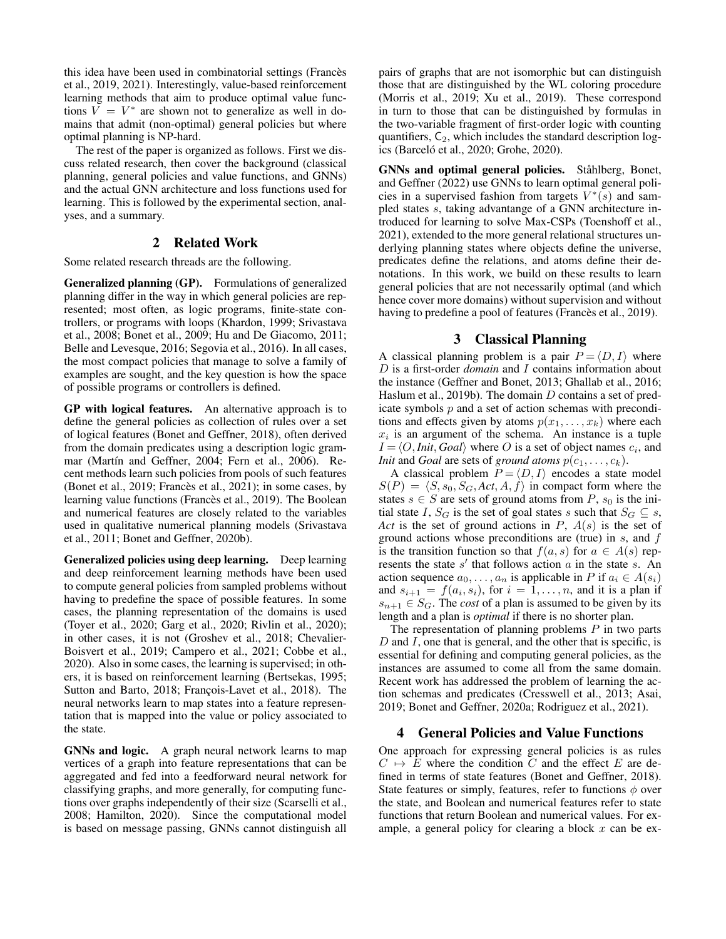this idea have been used in combinatorial settings (Francès et al., 2019, 2021). Interestingly, value-based reinforcement learning methods that aim to produce optimal value functions  $V = V^*$  are shown not to generalize as well in domains that admit (non-optimal) general policies but where optimal planning is NP-hard.

The rest of the paper is organized as follows. First we discuss related research, then cover the background (classical planning, general policies and value functions, and GNNs) and the actual GNN architecture and loss functions used for learning. This is followed by the experimental section, analyses, and a summary.

# 2 Related Work

Some related research threads are the following.

Generalized planning (GP). Formulations of generalized planning differ in the way in which general policies are represented; most often, as logic programs, finite-state controllers, or programs with loops (Khardon, 1999; Srivastava et al., 2008; Bonet et al., 2009; Hu and De Giacomo, 2011; Belle and Levesque, 2016; Segovia et al., 2016). In all cases, the most compact policies that manage to solve a family of examples are sought, and the key question is how the space of possible programs or controllers is defined.

GP with logical features. An alternative approach is to define the general policies as collection of rules over a set of logical features (Bonet and Geffner, 2018), often derived from the domain predicates using a description logic grammar (Martín and Geffner, 2004; Fern et al., 2006). Recent methods learn such policies from pools of such features (Bonet et al., 2019; Francès et al., 2021); in some cases, by learning value functions (Francès et al., 2019). The Boolean and numerical features are closely related to the variables used in qualitative numerical planning models (Srivastava et al., 2011; Bonet and Geffner, 2020b).

Generalized policies using deep learning. Deep learning and deep reinforcement learning methods have been used to compute general policies from sampled problems without having to predefine the space of possible features. In some cases, the planning representation of the domains is used (Toyer et al., 2020; Garg et al., 2020; Rivlin et al., 2020); in other cases, it is not (Groshev et al., 2018; Chevalier-Boisvert et al., 2019; Campero et al., 2021; Cobbe et al., 2020). Also in some cases, the learning is supervised; in others, it is based on reinforcement learning (Bertsekas, 1995; Sutton and Barto, 2018; François-Lavet et al., 2018). The neural networks learn to map states into a feature representation that is mapped into the value or policy associated to the state.

GNNs and logic. A graph neural network learns to map vertices of a graph into feature representations that can be aggregated and fed into a feedforward neural network for classifying graphs, and more generally, for computing functions over graphs independently of their size (Scarselli et al., 2008; Hamilton, 2020). Since the computational model is based on message passing, GNNs cannot distinguish all

pairs of graphs that are not isomorphic but can distinguish those that are distinguished by the WL coloring procedure (Morris et al., 2019; Xu et al., 2019). These correspond in turn to those that can be distinguished by formulas in the two-variable fragment of first-order logic with counting quantifiers,  $C_2$ , which includes the standard description logics (Barceló et al., 2020; Grohe, 2020).

GNNs and optimal general policies. Ståhlberg, Bonet, and Geffner (2022) use GNNs to learn optimal general policies in a supervised fashion from targets  $V^*(s)$  and sampled states s, taking advantange of a GNN architecture introduced for learning to solve Max-CSPs (Toenshoff et al., 2021), extended to the more general relational structures underlying planning states where objects define the universe, predicates define the relations, and atoms define their denotations. In this work, we build on these results to learn general policies that are not necessarily optimal (and which hence cover more domains) without supervision and without having to predefine a pool of features (Francès et al., 2019).

# 3 Classical Planning

A classical planning problem is a pair  $P = \langle D, I \rangle$  where D is a first-order *domain* and I contains information about the instance (Geffner and Bonet, 2013; Ghallab et al., 2016; Haslum et al., 2019b). The domain  $D$  contains a set of predicate symbols  $p$  and a set of action schemas with preconditions and effects given by atoms  $p(x_1, \ldots, x_k)$  where each  $x_i$  is an argument of the schema. An instance is a tuple  $I = \langle O, \text{Init}, \text{Goal} \rangle$  where O is a set of object names  $c_i$ , and *Init* and *Goal* are sets of *ground atoms*  $p(c_1, \ldots, c_k)$ .

A classical problem  $P = \langle D, I \rangle$  encodes a state model  $S(P) = \langle S, s_0, S_G, Act, A, f \rangle$  in compact form where the states  $s \in S$  are sets of ground atoms from P,  $s_0$  is the initial state I,  $S_G$  is the set of goal states s such that  $S_G \subseteq s$ , Act is the set of ground actions in  $P$ ,  $A(s)$  is the set of ground actions whose preconditions are (true) in  $s$ , and  $f$ is the transition function so that  $f(a, s)$  for  $a \in A(s)$  represents the state  $s'$  that follows action  $\alpha$  in the state  $\dot{s}$ . An action sequence  $a_0, \ldots, a_n$  is applicable in P if  $a_i \in A(s_i)$ and  $s_{i+1} = f(a_i, s_i)$ , for  $i = 1, \ldots, n$ , and it is a plan if  $s_{n+1} \in S_G$ . The *cost* of a plan is assumed to be given by its length and a plan is *optimal* if there is no shorter plan.

The representation of planning problems  $P$  in two parts  $D$  and  $I$ , one that is general, and the other that is specific, is essential for defining and computing general policies, as the instances are assumed to come all from the same domain. Recent work has addressed the problem of learning the action schemas and predicates (Cresswell et al., 2013; Asai, 2019; Bonet and Geffner, 2020a; Rodriguez et al., 2021).

# 4 General Policies and Value Functions

One approach for expressing general policies is as rules  $C \mapsto E$  where the condition C and the effect E are defined in terms of state features (Bonet and Geffner, 2018). State features or simply, features, refer to functions  $\phi$  over the state, and Boolean and numerical features refer to state functions that return Boolean and numerical values. For example, a general policy for clearing a block  $x$  can be ex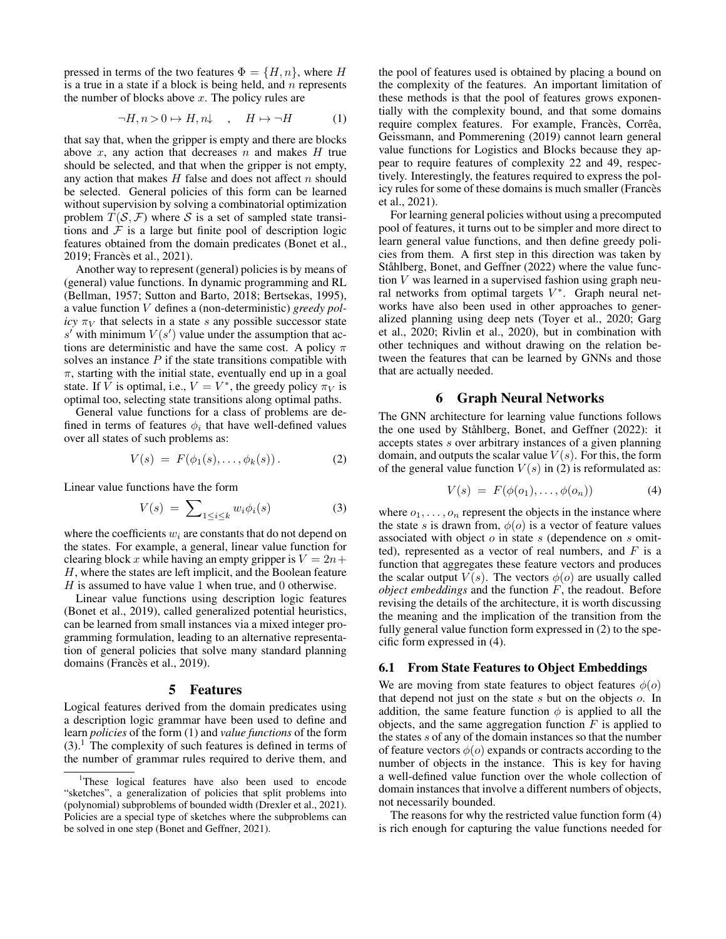pressed in terms of the two features  $\Phi = \{H, n\}$ , where H is a true in a state if a block is being held, and  $n$  represents the number of blocks above  $x$ . The policy rules are

$$
\neg H, n > 0 \rightarrow H, n \downarrow , \quad H \mapsto \neg H \tag{1}
$$

that say that, when the gripper is empty and there are blocks above  $x$ , any action that decreases  $n$  and makes  $H$  true should be selected, and that when the gripper is not empty, any action that makes  $H$  false and does not affect  $n$  should be selected. General policies of this form can be learned without supervision by solving a combinatorial optimization problem  $T(S, \mathcal{F})$  where S is a set of sampled state transitions and  $\mathcal F$  is a large but finite pool of description logic features obtained from the domain predicates (Bonet et al., 2019; Francès et al., 2021).

Another way to represent (general) policies is by means of (general) value functions. In dynamic programming and RL (Bellman, 1957; Sutton and Barto, 2018; Bertsekas, 1995), a value function V defines a (non-deterministic) *greedy policy*  $\pi_V$  that selects in a state s any possible successor state s' with minimum  $V(s')$  value under the assumption that actions are deterministic and have the same cost. A policy  $\pi$ solves an instance  $P$  if the state transitions compatible with  $\pi$ , starting with the initial state, eventually end up in a goal state. If V is optimal, i.e.,  $V = V^*$ , the greedy policy  $\pi_V$  is optimal too, selecting state transitions along optimal paths.

General value functions for a class of problems are defined in terms of features  $\phi_i$  that have well-defined values over all states of such problems as:

$$
V(s) = F(\phi_1(s), \dots, \phi_k(s)). \tag{2}
$$

Linear value functions have the form

$$
V(s) = \sum_{1 \le i \le k} w_i \phi_i(s) \tag{3}
$$

where the coefficients  $w_i$  are constants that do not depend on the states. For example, a general, linear value function for clearing block x while having an empty gripper is  $V = 2n +$ H, where the states are left implicit, and the Boolean feature  $H$  is assumed to have value 1 when true, and 0 otherwise.

Linear value functions using description logic features (Bonet et al., 2019), called generalized potential heuristics, can be learned from small instances via a mixed integer programming formulation, leading to an alternative representation of general policies that solve many standard planning domains (Francès et al., 2019).

### 5 Features

Logical features derived from the domain predicates using a description logic grammar have been used to define and learn *policies* of the form (1) and *value functions* of the form  $(3)$ .<sup>1</sup> The complexity of such features is defined in terms of the number of grammar rules required to derive them, and

the pool of features used is obtained by placing a bound on the complexity of the features. An important limitation of these methods is that the pool of features grows exponentially with the complexity bound, and that some domains require complex features. For example, Francès, Corrêa, Geissmann, and Pommerening (2019) cannot learn general value functions for Logistics and Blocks because they appear to require features of complexity 22 and 49, respectively. Interestingly, the features required to express the policy rules for some of these domains is much smaller (Francès et al., 2021).

For learning general policies without using a precomputed pool of features, it turns out to be simpler and more direct to learn general value functions, and then define greedy policies from them. A first step in this direction was taken by Ståhlberg, Bonet, and Geffner (2022) where the value function  $V$  was learned in a supervised fashion using graph neural networks from optimal targets  $V^*$ . Graph neural networks have also been used in other approaches to generalized planning using deep nets (Toyer et al., 2020; Garg et al., 2020; Rivlin et al., 2020), but in combination with other techniques and without drawing on the relation between the features that can be learned by GNNs and those that are actually needed.

### 6 Graph Neural Networks

The GNN architecture for learning value functions follows the one used by Ståhlberg, Bonet, and Geffner (2022): it accepts states s over arbitrary instances of a given planning domain, and outputs the scalar value  $V(s)$ . For this, the form of the general value function  $V(s)$  in (2) is reformulated as:

$$
V(s) = F(\phi(o_1), \dots, \phi(o_n)) \tag{4}
$$

where  $o_1, \ldots, o_n$  represent the objects in the instance where the state s is drawn from,  $\phi$ (o) is a vector of feature values associated with object  $o$  in state  $s$  (dependence on  $s$  omitted), represented as a vector of real numbers, and  $F$  is a function that aggregates these feature vectors and produces the scalar output  $V(s)$ . The vectors  $\phi(o)$  are usually called *object embeddings* and the function F, the readout. Before revising the details of the architecture, it is worth discussing the meaning and the implication of the transition from the fully general value function form expressed in (2) to the specific form expressed in (4).

# 6.1 From State Features to Object Embeddings

We are moving from state features to object features  $\phi(o)$ that depend not just on the state s but on the objects o. In addition, the same feature function  $\phi$  is applied to all the objects, and the same aggregation function  $F$  is applied to the states s of any of the domain instances so that the number of feature vectors  $\phi(o)$  expands or contracts according to the number of objects in the instance. This is key for having a well-defined value function over the whole collection of domain instances that involve a different numbers of objects, not necessarily bounded.

The reasons for why the restricted value function form (4) is rich enough for capturing the value functions needed for

<sup>&</sup>lt;sup>1</sup>These logical features have also been used to encode "sketches", a generalization of policies that split problems into (polynomial) subproblems of bounded width (Drexler et al., 2021). Policies are a special type of sketches where the subproblems can be solved in one step (Bonet and Geffner, 2021).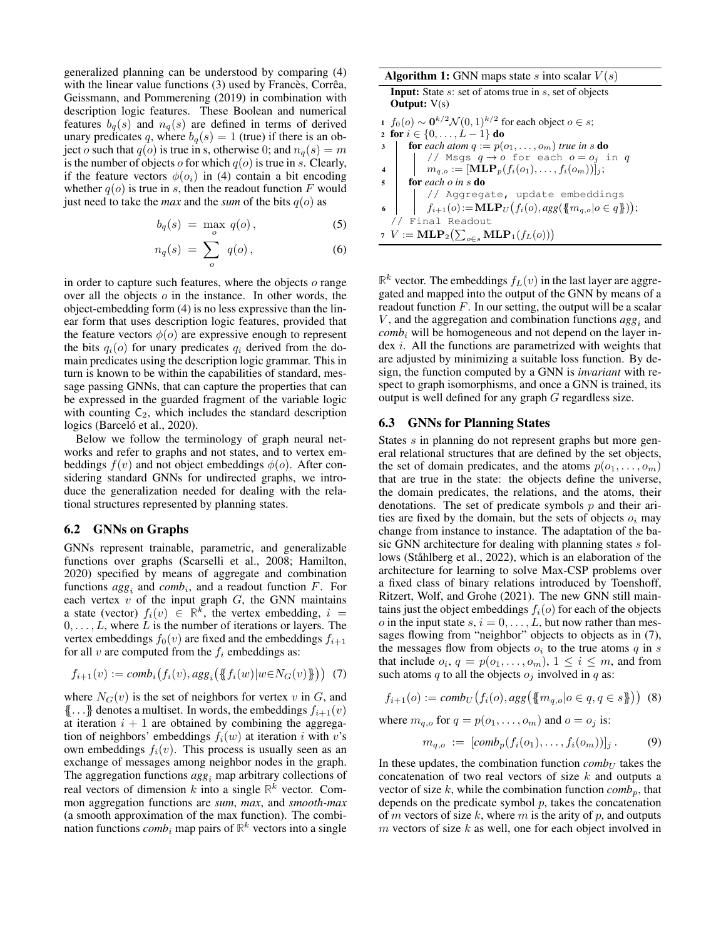generalized planning can be understood by comparing (4) with the linear value functions  $(3)$  used by Francès, Corrêa, Geissmann, and Pommerening (2019) in combination with description logic features. These Boolean and numerical features  $b_q(s)$  and  $n_q(s)$  are defined in terms of derived unary predicates q, where  $b_q(s) = 1$  (true) if there is an object o such that  $q(o)$  is true in s, otherwise 0; and  $n_q(s) = m$ is the number of objects  $o$  for which  $q(o)$  is true in s. Clearly, if the feature vectors  $\phi(o_i)$  in (4) contain a bit encoding whether  $q(o)$  is true in s, then the readout function F would just need to take the *max* and the *sum* of the bits  $q(o)$  as

$$
b_q(s) = \max_{o} q(o), \tag{5}
$$

$$
n_q(s) = \sum_{o} q(o), \qquad (6)
$$

in order to capture such features, where the objects  $o$  range over all the objects  $\sigma$  in the instance. In other words, the object-embedding form (4) is no less expressive than the linear form that uses description logic features, provided that the feature vectors  $\phi(o)$  are expressive enough to represent the bits  $q_i(o)$  for unary predicates  $q_i$  derived from the domain predicates using the description logic grammar. This in turn is known to be within the capabilities of standard, message passing GNNs, that can capture the properties that can be expressed in the guarded fragment of the variable logic with counting  $C_2$ , which includes the standard description logics (Barceló et al., 2020).

Below we follow the terminology of graph neural networks and refer to graphs and not states, and to vertex embeddings  $f(v)$  and not object embeddings  $\phi(o)$ . After considering standard GNNs for undirected graphs, we introduce the generalization needed for dealing with the relational structures represented by planning states.

### 6.2 GNNs on Graphs

GNNs represent trainable, parametric, and generalizable functions over graphs (Scarselli et al., 2008; Hamilton, 2020) specified by means of aggregate and combination functions  $agg_i$  and  $comb_i$ , and a readout function  $F$ . For each vertex  $v$  of the input graph  $G$ , the GNN maintains a state (vector)  $f_i(v) \in \mathbb{R}^k$ , the vertex embedding,  $i =$  $0, \ldots, L$ , where L is the number of iterations or layers. The vertex embeddings  $f_0(v)$  are fixed and the embeddings  $f_{i+1}$ for all  $v$  are computed from the  $f_i$  embeddings as:

$$
f_{i+1}(v) := comb_i(f_i(v), agg_i(\{\!\!\{\,f_i(w)|w \in N_G(v)\,\!\!\}\,\!\!\}) \tag{7}
$$

where  $N_G(v)$  is the set of neighbors for vertex v in G, and  $\{\{\ldots\}\}$  denotes a multiset. In words, the embeddings  $f_{i+1}(v)$ at iteration  $i + 1$  are obtained by combining the aggregation of neighbors' embeddings  $f_i(w)$  at iteration i with v's own embeddings  $f_i(v)$ . This process is usually seen as an exchange of messages among neighbor nodes in the graph. The aggregation functions  $agg_i$  map arbitrary collections of real vectors of dimension  $k$  into a single  $\mathbb{R}^k$  vector. Common aggregation functions are *sum*, *max*, and *smooth-max* (a smooth approximation of the max function). The combination functions  $comb_i$  map pairs of  $\mathbb{R}^k$  vectors into a single

| <b>Algorithm 1:</b> GNN maps state s into scalar $V(s)$                                       |  |  |  |  |  |  |
|-----------------------------------------------------------------------------------------------|--|--|--|--|--|--|
| <b>Input:</b> State s: set of atoms true in s, set of objects                                 |  |  |  |  |  |  |
| <b>Output:</b> $V(s)$                                                                         |  |  |  |  |  |  |
| $1 f_0(o) \sim \mathbf{0}^{k/2} \mathcal{N}(0,1)^{k/2}$ for each object $o \in s$ ;           |  |  |  |  |  |  |
| 2 for $i \in \{0, , L-1\}$ do                                                                 |  |  |  |  |  |  |
| <b>for</b> each atom $q := p(o_1, \ldots, o_m)$ true in s <b>do</b><br>3                      |  |  |  |  |  |  |
| // Msgs $q \rightarrow o$ for each $o = o_j$ in q                                             |  |  |  |  |  |  |
| $m_{a.o.} := [\mathbf{MLP}_p(f_i(o_1), \ldots, f_i(o_m))]_j;$<br>$\overline{\bf{4}}$          |  |  |  |  |  |  |
| for each $o$ in $s$ do<br>5                                                                   |  |  |  |  |  |  |
| // Aggregate, update embeddings                                                               |  |  |  |  |  |  |
| $f_{i+1}(o) := \textbf{MLP}_U(f_i(o),agg(\{\!\!\{\,m_{q,o} o\in q\}\!\!\}));$<br>$\mathbb{R}$ |  |  |  |  |  |  |
| // Final Readout                                                                              |  |  |  |  |  |  |
| 7 $V := \textbf{MLP}_2\big(\sum_{o \in s} \textbf{MLP}_1(f_L(o))\big)$                        |  |  |  |  |  |  |

 $\mathbb{R}^k$  vector. The embeddings  $f_L(v)$  in the last layer are aggregated and mapped into the output of the GNN by means of a readout function  $F$ . In our setting, the output will be a scalar  $V$ , and the aggregation and combination functions  $\arg_l$  and  $comb_i$  will be homogeneous and not depend on the layer in- $\gamma$  dex *i*. All the functions are parametrized with weights that are adjusted by minimizing a suitable loss function. By design, the function computed by a GNN is *invariant* with respect to graph isomorphisms, and once a GNN is trained, its output is well defined for any graph G regardless size.

### 6.3 GNNs for Planning States

States s in planning do not represent graphs but more general relational structures that are defined by the set objects, the set of domain predicates, and the atoms  $p(o_1, \ldots, o_m)$ that are true in the state: the objects define the universe, the domain predicates, the relations, and the atoms, their denotations. The set of predicate symbols  $p$  and their arities are fixed by the domain, but the sets of objects  $o_i$  may change from instance to instance. The adaptation of the basic GNN architecture for dealing with planning states s follows (Ståhlberg et al., 2022), which is an elaboration of the architecture for learning to solve Max-CSP problems over a fixed class of binary relations introduced by Toenshoff, Ritzert, Wolf, and Grohe (2021). The new GNN still maintains just the object embeddings  $f_i(o)$  for each of the objects o in the input state  $s, i = 0, \ldots, L$ , but now rather than messages flowing from "neighbor" objects to objects as in (7), the messages flow from objects  $o_i$  to the true atoms  $q$  in  $s$ that include  $o_i$ ,  $q = p(o_1, \ldots, o_m)$ ,  $1 \leq i \leq m$ , and from such atoms q to all the objects  $o_i$  involved in q as:

$$
f_{i+1}(o) := comb_U(f_i(o),agg(\{\{m_{q,o} | o \in q, q \in s\})\}) \tag{8}
$$

where  $m_{q,o}$  for  $q = p(o_1, \ldots, o_m)$  and  $o = o_j$  is:

$$
m_{q,o} := [comb_p(f_i(o_1), \ldots, f_i(o_m))]_j. \qquad (9)
$$

In these updates, the combination function  $\textit{comb}_U$  takes the concatenation of two real vectors of size  $k$  and outputs a vector of size  $k$ , while the combination function  $\textit{comb}_p$ , that depends on the predicate symbol  $p$ , takes the concatenation of m vectors of size k, where m is the arity of p, and outputs  $m$  vectors of size  $k$  as well, one for each object involved in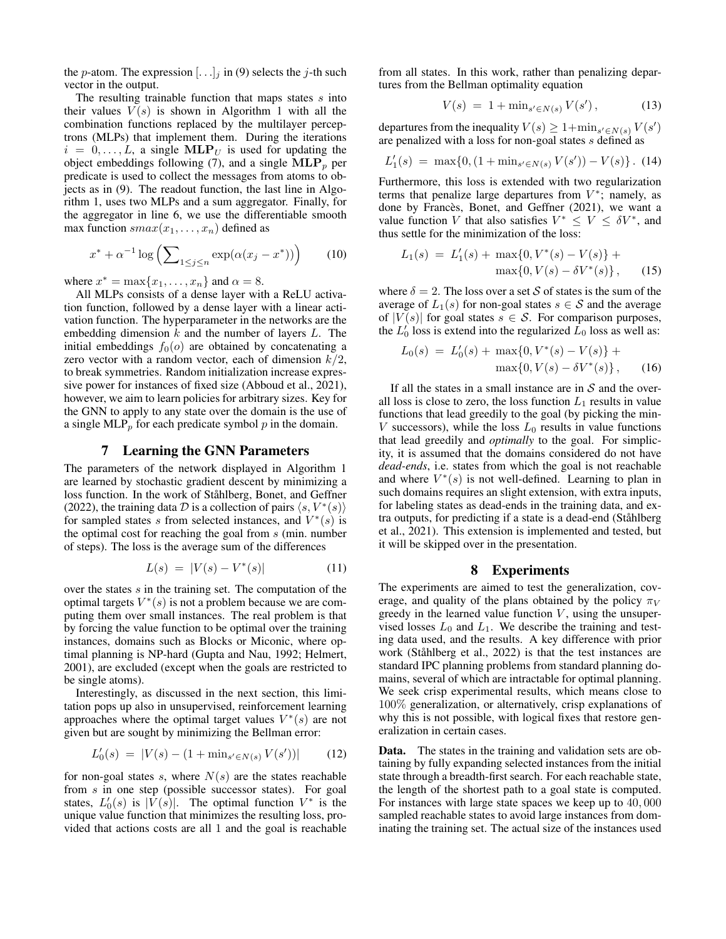the p-atom. The expression  $[\ldots]_i$  in (9) selects the j-th such vector in the output.

The resulting trainable function that maps states  $s$  into their values  $V(s)$  is shown in Algorithm 1 with all the combination functions replaced by the multilayer perceptrons (MLPs) that implement them. During the iterations  $i = 0, \ldots, L$ , a single  $\text{MLP}_U$  is used for updating the object embeddings following (7), and a single  $MLP_p$  per predicate is used to collect the messages from atoms to objects as in (9). The readout function, the last line in Algorithm 1, uses two MLPs and a sum aggregator. Finally, for the aggregator in line 6, we use the differentiable smooth max function  $smax(x_1, \ldots, x_n)$  defined as

$$
x^* + \alpha^{-1} \log \left( \sum_{1 \le j \le n} \exp(\alpha (x_j - x^*)) \right) \tag{10}
$$

where  $x^* = \max\{x_1, \ldots, x_n\}$  and  $\alpha = 8$ .

All MLPs consists of a dense layer with a ReLU activation function, followed by a dense layer with a linear activation function. The hyperparameter in the networks are the embedding dimension  $k$  and the number of layers  $L$ . The initial embeddings  $f_0(o)$  are obtained by concatenating a zero vector with a random vector, each of dimension  $k/2$ , to break symmetries. Random initialization increase expressive power for instances of fixed size (Abboud et al., 2021), however, we aim to learn policies for arbitrary sizes. Key for the GNN to apply to any state over the domain is the use of a single MLP<sub>p</sub> for each predicate symbol p in the domain.

## 7 Learning the GNN Parameters

The parameters of the network displayed in Algorithm 1 are learned by stochastic gradient descent by minimizing a loss function. In the work of Ståhlberg, Bonet, and Geffner (2022), the training data D is a collection of pairs  $\langle s, V^*(s) \rangle$ for sampled states s from selected instances, and  $V^*(s)$  is the optimal cost for reaching the goal from  $s$  (min. number of steps). The loss is the average sum of the differences

$$
L(s) = |V(s) - V^*(s)| \tag{11}
$$

over the states  $s$  in the training set. The computation of the optimal targets  $V^*(s)$  is not a problem because we are computing them over small instances. The real problem is that by forcing the value function to be optimal over the training instances, domains such as Blocks or Miconic, where optimal planning is NP-hard (Gupta and Nau, 1992; Helmert, 2001), are excluded (except when the goals are restricted to be single atoms).

Interestingly, as discussed in the next section, this limitation pops up also in unsupervised, reinforcement learning approaches where the optimal target values  $V^*(s)$  are not given but are sought by minimizing the Bellman error:

$$
L'_0(s) = |V(s) - (1 + \min_{s' \in N(s)} V(s'))| \qquad (12)
$$

for non-goal states s, where  $N(s)$  are the states reachable from s in one step (possible successor states). For goal states,  $L'_0(s)$  is  $|\overline{V}(s)|$ . The optimal function  $V^*$  is the unique value function that minimizes the resulting loss, provided that actions costs are all 1 and the goal is reachable from all states. In this work, rather than penalizing departures from the Bellman optimality equation

$$
V(s) = 1 + \min_{s' \in N(s)} V(s'), \tag{13}
$$

departures from the inequality  $V(s) \geq 1 + \min_{s' \in N(s)} V(s')$ are penalized with a loss for non-goal states s defined as

$$
L'_1(s) = \max\{0, (1 + \min_{s' \in N(s)} V(s')) - V(s)\}.
$$
 (14)

Furthermore, this loss is extended with two regularization terms that penalize large departures from  $V^*$ ; namely, as done by Francès, Bonet, and Geffner (2021), we want a value function V that also satisfies  $V^* \leq V \leq \delta V^*$ , and thus settle for the minimization of the loss:

$$
L_1(s) = L'_1(s) + \max\{0, V^*(s) - V(s)\} + \max\{0, V(s) - \delta V^*(s)\},
$$
 (15)

where  $\delta = 2$ . The loss over a set S of states is the sum of the average of  $L_1(s)$  for non-goal states  $s \in S$  and the average of  $|V(s)|$  for goal states  $s \in S$ . For comparison purposes, the  $L'_0$  loss is extend into the regularized  $\bar{L}_0$  loss as well as:

$$
L_0(s) = L'_0(s) + \max\{0, V^*(s) - V(s)\} + \max\{0, V(s) - \delta V^*(s)\},
$$
 (16)

If all the states in a small instance are in  $S$  and the overall loss is close to zero, the loss function  $L_1$  results in value functions that lead greedily to the goal (by picking the min-V successors), while the loss  $L_0$  results in value functions that lead greedily and *optimally* to the goal. For simplicity, it is assumed that the domains considered do not have *dead-ends*, i.e. states from which the goal is not reachable and where  $V^*(s)$  is not well-defined. Learning to plan in such domains requires an slight extension, with extra inputs, for labeling states as dead-ends in the training data, and extra outputs, for predicting if a state is a dead-end (Ståhlberg et al., 2021). This extension is implemented and tested, but it will be skipped over in the presentation.

#### 8 Experiments

The experiments are aimed to test the generalization, coverage, and quality of the plans obtained by the policy  $\pi_V$ greedy in the learned value function  $V$ , using the unsupervised losses  $L_0$  and  $L_1$ . We describe the training and testing data used, and the results. A key difference with prior work (Ståhlberg et al., 2022) is that the test instances are standard IPC planning problems from standard planning domains, several of which are intractable for optimal planning. We seek crisp experimental results, which means close to 100% generalization, or alternatively, crisp explanations of why this is not possible, with logical fixes that restore generalization in certain cases.

Data. The states in the training and validation sets are obtaining by fully expanding selected instances from the initial state through a breadth-first search. For each reachable state, the length of the shortest path to a goal state is computed. For instances with large state spaces we keep up to 40, 000 sampled reachable states to avoid large instances from dominating the training set. The actual size of the instances used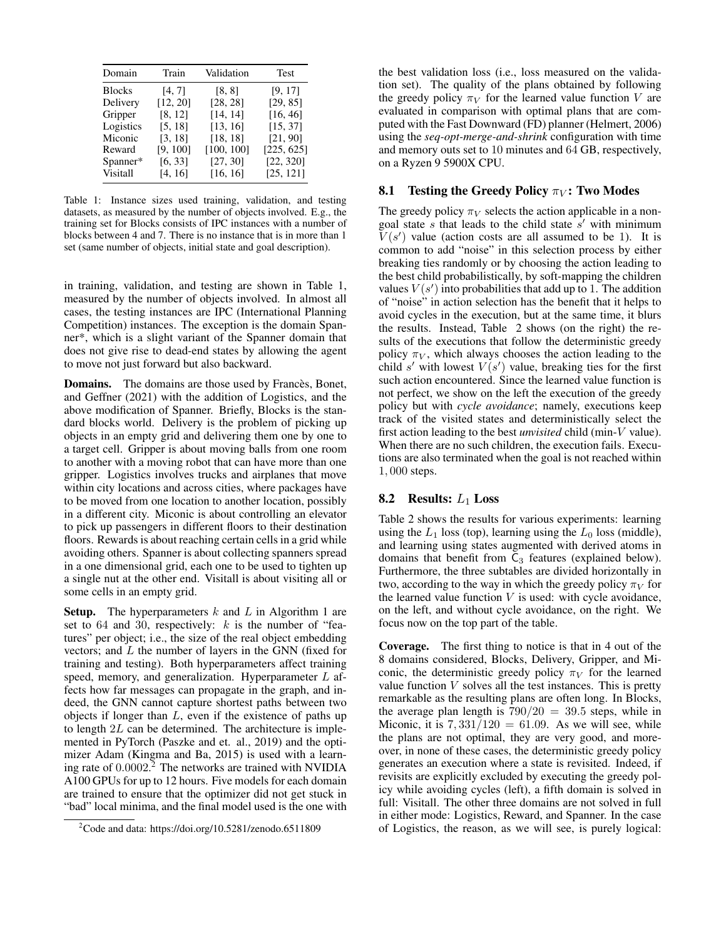| Domain        | Train    | Validation | Test       |
|---------------|----------|------------|------------|
| <b>Blocks</b> | [4, 7]   | [8, 8]     | [9, 17]    |
| Delivery      | [12, 20] | [28, 28]   | [29, 85]   |
| Gripper       | [8, 12]  | [14, 14]   | [16, 46]   |
| Logistics     | [5, 18]  | [13, 16]   | [15, 37]   |
| Miconic       | [3, 18]  | [18, 18]   | [21, 90]   |
| Reward        | [9, 100] | [100, 100] | [225, 625] |
| Spanner*      | [6, 33]  | [27, 30]   | [22, 320]  |
| Visitall      | [4, 16]  | [16, 16]   | [25, 121]  |

Table 1: Instance sizes used training, validation, and testing datasets, as measured by the number of objects involved. E.g., the training set for Blocks consists of IPC instances with a number of blocks between 4 and 7. There is no instance that is in more than 1 set (same number of objects, initial state and goal description).

in training, validation, and testing are shown in Table 1, measured by the number of objects involved. In almost all cases, the testing instances are IPC (International Planning Competition) instances. The exception is the domain Spanner\*, which is a slight variant of the Spanner domain that does not give rise to dead-end states by allowing the agent to move not just forward but also backward.

Domains. The domains are those used by Francès, Bonet, and Geffner (2021) with the addition of Logistics, and the above modification of Spanner. Briefly, Blocks is the standard blocks world. Delivery is the problem of picking up objects in an empty grid and delivering them one by one to a target cell. Gripper is about moving balls from one room to another with a moving robot that can have more than one gripper. Logistics involves trucks and airplanes that move within city locations and across cities, where packages have to be moved from one location to another location, possibly in a different city. Miconic is about controlling an elevator to pick up passengers in different floors to their destination floors. Rewards is about reaching certain cells in a grid while avoiding others. Spanner is about collecting spanners spread in a one dimensional grid, each one to be used to tighten up a single nut at the other end. Visitall is about visiting all or some cells in an empty grid.

**Setup.** The hyperparameters  $k$  and  $L$  in Algorithm 1 are set to  $64$  and  $30$ , respectively:  $k$  is the number of "features" per object; i.e., the size of the real object embedding vectors; and L the number of layers in the GNN (fixed for training and testing). Both hyperparameters affect training speed, memory, and generalization. Hyperparameter  $L$  affects how far messages can propagate in the graph, and indeed, the GNN cannot capture shortest paths between two objects if longer than  $L$ , even if the existence of paths up to length 2L can be determined. The architecture is implemented in PyTorch (Paszke and et. al., 2019) and the optimizer Adam (Kingma and Ba, 2015) is used with a learning rate of 0.0002. <sup>2</sup> The networks are trained with NVIDIA A100 GPUs for up to 12 hours. Five models for each domain are trained to ensure that the optimizer did not get stuck in "bad" local minima, and the final model used is the one with

the best validation loss (i.e., loss measured on the validation set). The quality of the plans obtained by following the greedy policy  $\pi_V$  for the learned value function V are evaluated in comparison with optimal plans that are computed with the Fast Downward (FD) planner (Helmert, 2006) using the *seq-opt-merge-and-shrink* configuration with time and memory outs set to 10 minutes and 64 GB, respectively, on a Ryzen 9 5900X CPU.

### 8.1 Testing the Greedy Policy  $\pi_V$ : Two Modes

The greedy policy  $\pi_V$  selects the action applicable in a nongoal state s that leads to the child state  $s'$  with minimum  $V(s')$  value (action costs are all assumed to be 1). It is common to add "noise" in this selection process by either breaking ties randomly or by choosing the action leading to the best child probabilistically, by soft-mapping the children values  $V(s')$  into probabilities that add up to 1. The addition of "noise" in action selection has the benefit that it helps to avoid cycles in the execution, but at the same time, it blurs the results. Instead, Table 2 shows (on the right) the results of the executions that follow the deterministic greedy policy  $\pi_V$ , which always chooses the action leading to the child s' with lowest  $V(s')$  value, breaking ties for the first such action encountered. Since the learned value function is not perfect, we show on the left the execution of the greedy policy but with *cycle avoidance*; namely, executions keep track of the visited states and deterministically select the first action leading to the best *unvisited* child (min-V value). When there are no such children, the execution fails. Executions are also terminated when the goal is not reached within 1, 000 steps.

#### 8.2 Results:  $L_1$  Loss

Table 2 shows the results for various experiments: learning using the  $L_1$  loss (top), learning using the  $L_0$  loss (middle), and learning using states augmented with derived atoms in domains that benefit from  $C_3$  features (explained below). Furthermore, the three subtables are divided horizontally in two, according to the way in which the greedy policy  $\pi_V$  for the learned value function  $V$  is used: with cycle avoidance, on the left, and without cycle avoidance, on the right. We focus now on the top part of the table.

Coverage. The first thing to notice is that in 4 out of the 8 domains considered, Blocks, Delivery, Gripper, and Miconic, the deterministic greedy policy  $\pi_V$  for the learned value function  $V$  solves all the test instances. This is pretty remarkable as the resulting plans are often long. In Blocks, the average plan length is  $790/20 = 39.5$  steps, while in Miconic, it is  $7,331/120 = 61.09$ . As we will see, while the plans are not optimal, they are very good, and moreover, in none of these cases, the deterministic greedy policy generates an execution where a state is revisited. Indeed, if revisits are explicitly excluded by executing the greedy policy while avoiding cycles (left), a fifth domain is solved in full: Visitall. The other three domains are not solved in full in either mode: Logistics, Reward, and Spanner. In the case of Logistics, the reason, as we will see, is purely logical:

<sup>2</sup>Code and data: https://doi.org/10.5281/zenodo.6511809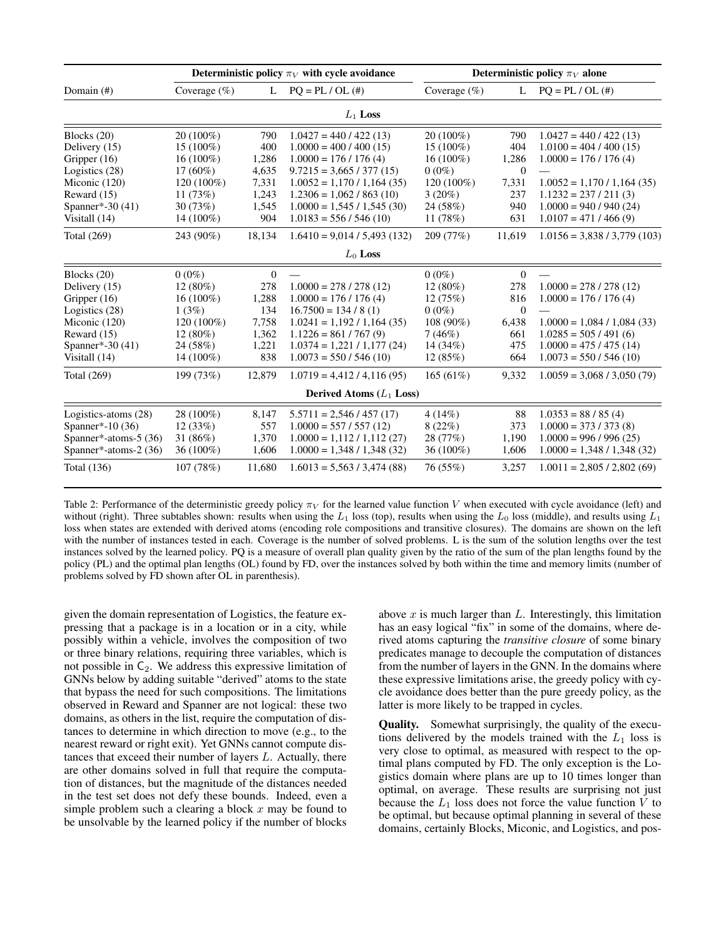|                            | Deterministic policy $\pi_V$ with cycle avoidance |                |                                | Deterministic policy $\pi_V$ alone |              |                               |  |  |
|----------------------------|---------------------------------------------------|----------------|--------------------------------|------------------------------------|--------------|-------------------------------|--|--|
| Domain $(\#)$              | Coverage $(\%)$                                   | L              | $PO = PL / OL$ (#)             | Coverage $(\%)$                    | L            | $PQ = PL / OL$ (#)            |  |  |
| $L_1$ Loss                 |                                                   |                |                                |                                    |              |                               |  |  |
| Blocks (20)                | $20(100\%)$                                       | 790            | $1.0427 = 440 / 422 (13)$      | 20 (100%)                          | 790          | $1.0427 = 440 / 422 (13)$     |  |  |
| Delivery (15)              | $15(100\%)$                                       | 400            | $1.0000 = 400 / 400 (15)$      | $15(100\%)$                        | 404          | $1.0100 = 404 / 400 (15)$     |  |  |
| Gripper (16)               | $16(100\%)$                                       | 1,286          | $1.0000 = 176 / 176 (4)$       | $16(100\%)$                        | 1,286        | $1.0000 = 176 / 176 (4)$      |  |  |
| Logistics (28)             | $17(60\%)$                                        | 4,635          | $9.7215 = 3,665 / 377 (15)$    | $0(0\%)$                           | $\Omega$     |                               |  |  |
| Miconic (120)              | 120 (100%)                                        | 7,331          | $1.0052 = 1,170 / 1,164 (35)$  | 120 (100%)                         | 7,331        | $1.0052 = 1,170 / 1,164 (35)$ |  |  |
| Reward (15)                | 11(73%)                                           | 1,243          | $1.2306 = 1,062 / 863 (10)$    | $3(20\%)$                          | 237          | $1.1232 = 237 / 211(3)$       |  |  |
| Spanner*-30 (41)           | 30(73%)                                           | 1,545          | $1.0000 = 1.545 / 1.545 (30)$  | 24 (58%)                           | 940          | $1.0000 = 940 / 940 (24)$     |  |  |
| Visitall (14)              | $14(100\%)$                                       | 904            | $1.0183 = 556 / 546 (10)$      | 11 $(78%)$                         | 631          | $1.0107 = 471 / 466 (9)$      |  |  |
| Total (269)                | 243 (90%)                                         | 18,134         | $1.6410 = 9.014 / 5.493 (132)$ | 209 (77%)                          | 11,619       | $1.0156 = 3,838 / 3,779(103)$ |  |  |
| $L_0$ Loss                 |                                                   |                |                                |                                    |              |                               |  |  |
| Blocks (20)                | $0(0\%)$                                          | $\overline{0}$ |                                | $0(0\%)$                           | $\theta$     |                               |  |  |
| Delivery (15)              | $12(80\%)$                                        | 278            | $1.0000 = 278 / 278 (12)$      | $12(80\%)$                         | 278          | $1.0000 = 278 / 278 (12)$     |  |  |
| Gripper (16)               | $16(100\%)$                                       | 1,288          | $1.0000 = 176 / 176 (4)$       | 12(75%)                            | 816          | $1.0000 = 176 / 176 (4)$      |  |  |
| Logistics (28)             | 1(3%)                                             | 134            | $16.7500 = 134 / 8(1)$         | $0(0\%)$                           | $\mathbf{0}$ |                               |  |  |
| Miconic (120)              | $120(100\%)$                                      | 7,758          | $1.0241 = 1,192 / 1,164 (35)$  | 108 (90%)                          | 6,438        | $1.0000 = 1,084 / 1,084 (33)$ |  |  |
| Reward (15)                | $12(80\%)$                                        | 1,362          | $1.1226 = 861 / 767 (9)$       | 7(46%)                             | 661          | $1.0285 = 505 / 491(6)$       |  |  |
| Spanner*-30 (41)           | 24 (58%)                                          | 1,221          | $1.0374 = 1,221 / 1,177 (24)$  | $14(34\%)$                         | 475          | $1.0000 = 475 / 475 (14)$     |  |  |
| Visitall (14)              | $14(100\%)$                                       | 838            | $1.0073 = 550 / 546 (10)$      | 12(85%)                            | 664          | $1.0073 = 550 / 546 (10)$     |  |  |
| Total (269)                | 199 (73%)                                         | 12,879         | $1.0719 = 4,412 / 4,116 (95)$  | 165(61%)                           | 9,332        | $1.0059 = 3,068 / 3,050(79)$  |  |  |
| Derived Atoms $(L_1$ Loss) |                                                   |                |                                |                                    |              |                               |  |  |
| Logistics-atoms (28)       | 28 (100%)                                         | 8,147          | $5.5711 = 2,546/457(17)$       | 4(14%)                             | 88           | $1.0353 = 88 / 85 (4)$        |  |  |
| Spanner*-10 (36)           | 12(33%)                                           | 557            | $1.0000 = 557 / 557 (12)$      | 8(22%)                             | 373          | $1.0000 = 373 / 373 (8)$      |  |  |
| Spanner*-atoms-5 (36)      | 31 $(86%)$                                        | 1,370          | $1.0000 = 1.112 / 1.112 (27)$  | 28 (77%)                           | 1,190        | $1.0000 = 996 / 996 (25)$     |  |  |
| Spanner*-atoms-2 (36)      | $36(100\%)$                                       | 1,606          | $1.0000 = 1,348 / 1,348 (32)$  | 36 (100%)                          | 1,606        | $1.0000 = 1,348 / 1,348 (32)$ |  |  |
| <b>Total</b> (136)         | 107(78%)                                          | 11,680         | $1.6013 = 5,563 / 3,474 (88)$  | 76 (55%)                           | 3,257        | $1.0011 = 2,805 / 2,802(69)$  |  |  |

Table 2: Performance of the deterministic greedy policy  $\pi_V$  for the learned value function V when executed with cycle avoidance (left) and without (right). Three subtables shown: results when using the  $L_1$  loss (top), results when using the  $L_0$  loss (middle), and results using  $L_1$ loss when states are extended with derived atoms (encoding role compositions and transitive closures). The domains are shown on the left with the number of instances tested in each. Coverage is the number of solved problems. L is the sum of the solution lengths over the test instances solved by the learned policy. PQ is a measure of overall plan quality given by the ratio of the sum of the plan lengths found by the policy (PL) and the optimal plan lengths (OL) found by FD, over the instances solved by both within the time and memory limits (number of problems solved by FD shown after OL in parenthesis).

given the domain representation of Logistics, the feature expressing that a package is in a location or in a city, while possibly within a vehicle, involves the composition of two or three binary relations, requiring three variables, which is not possible in  $C_2$ . We address this expressive limitation of GNNs below by adding suitable "derived" atoms to the state that bypass the need for such compositions. The limitations observed in Reward and Spanner are not logical: these two domains, as others in the list, require the computation of distances to determine in which direction to move (e.g., to the nearest reward or right exit). Yet GNNs cannot compute distances that exceed their number of layers L. Actually, there are other domains solved in full that require the computation of distances, but the magnitude of the distances needed in the test set does not defy these bounds. Indeed, even a simple problem such a clearing a block  $x$  may be found to be unsolvable by the learned policy if the number of blocks above  $x$  is much larger than  $L$ . Interestingly, this limitation has an easy logical "fix" in some of the domains, where derived atoms capturing the *transitive closure* of some binary predicates manage to decouple the computation of distances from the number of layers in the GNN. In the domains where these expressive limitations arise, the greedy policy with cycle avoidance does better than the pure greedy policy, as the latter is more likely to be trapped in cycles.

Quality. Somewhat surprisingly, the quality of the executions delivered by the models trained with the  $L_1$  loss is very close to optimal, as measured with respect to the optimal plans computed by FD. The only exception is the Logistics domain where plans are up to 10 times longer than optimal, on average. These results are surprising not just because the  $L_1$  loss does not force the value function  $V$  to be optimal, but because optimal planning in several of these domains, certainly Blocks, Miconic, and Logistics, and pos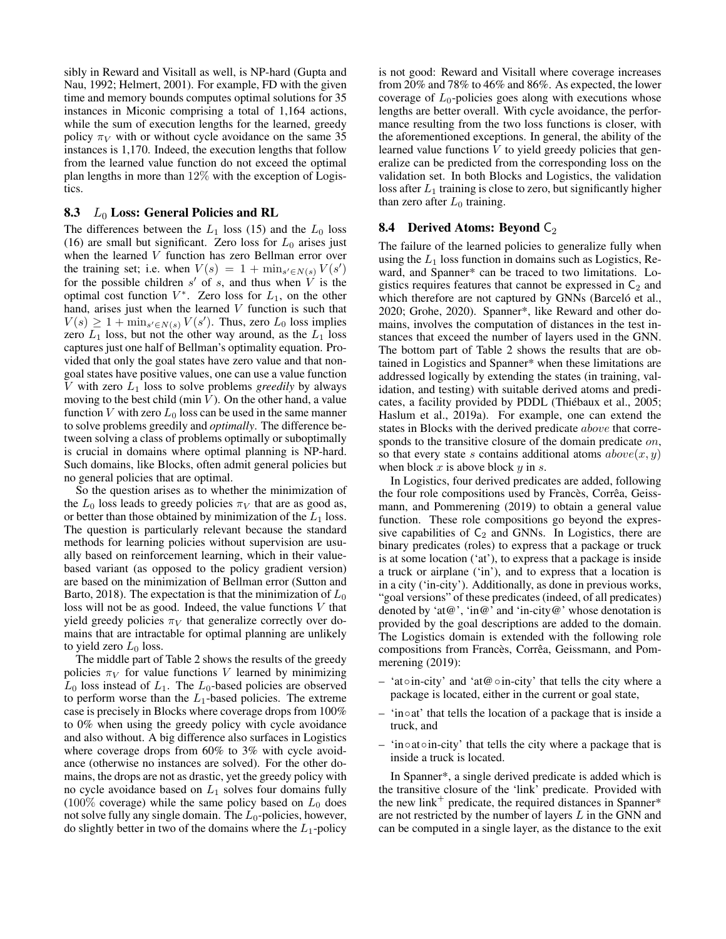sibly in Reward and Visitall as well, is NP-hard (Gupta and Nau, 1992; Helmert, 2001). For example, FD with the given time and memory bounds computes optimal solutions for 35 instances in Miconic comprising a total of 1,164 actions, while the sum of execution lengths for the learned, greedy policy  $\pi_V$  with or without cycle avoidance on the same 35 instances is 1,170. Indeed, the execution lengths that follow from the learned value function do not exceed the optimal plan lengths in more than 12% with the exception of Logistics.

# 8.3  $L_0$  Loss: General Policies and RL

The differences between the  $L_1$  loss (15) and the  $L_0$  loss (16) are small but significant. Zero loss for  $L_0$  arises just when the learned V function has zero Bellman error over the training set; i.e. when  $V(s) = 1 + \min_{s' \in N(s)} V(s')$ for the possible children  $s'$  of s, and thus when  $\overline{V}$  is the optimal cost function  $V^*$ . Zero loss for  $L_1$ , on the other hand, arises just when the learned  $V$  function is such that  $V(s) \geq 1 + \min_{s' \in N(s)} V(s')$ . Thus, zero  $L_0$  loss implies zero  $L_1$  loss, but not the other way around, as the  $L_1$  loss captures just one half of Bellman's optimality equation. Provided that only the goal states have zero value and that nongoal states have positive values, one can use a value function V with zero L<sup>1</sup> loss to solve problems *greedily* by always moving to the best child (min  $V$ ). On the other hand, a value function V with zero  $L_0$  loss can be used in the same manner to solve problems greedily and *optimally*. The difference between solving a class of problems optimally or suboptimally is crucial in domains where optimal planning is NP-hard. Such domains, like Blocks, often admit general policies but no general policies that are optimal.

So the question arises as to whether the minimization of the  $L_0$  loss leads to greedy policies  $\pi_V$  that are as good as, or better than those obtained by minimization of the  $L_1$  loss. The question is particularly relevant because the standard methods for learning policies without supervision are usually based on reinforcement learning, which in their valuebased variant (as opposed to the policy gradient version) are based on the minimization of Bellman error (Sutton and Barto, 2018). The expectation is that the minimization of  $L_0$ loss will not be as good. Indeed, the value functions  $V$  that yield greedy policies  $\pi_V$  that generalize correctly over domains that are intractable for optimal planning are unlikely to yield zero  $L_0$  loss.

The middle part of Table 2 shows the results of the greedy policies  $\pi_V$  for value functions V learned by minimizing  $L_0$  loss instead of  $L_1$ . The  $L_0$ -based policies are observed to perform worse than the  $L_1$ -based policies. The extreme case is precisely in Blocks where coverage drops from 100% to 0% when using the greedy policy with cycle avoidance and also without. A big difference also surfaces in Logistics where coverage drops from 60% to 3% with cycle avoidance (otherwise no instances are solved). For the other domains, the drops are not as drastic, yet the greedy policy with no cycle avoidance based on  $L_1$  solves four domains fully (100% coverage) while the same policy based on  $L_0$  does not solve fully any single domain. The  $L_0$ -policies, however, do slightly better in two of the domains where the  $L_1$ -policy

is not good: Reward and Visitall where coverage increases from 20% and 78% to 46% and 86%. As expected, the lower coverage of  $L_0$ -policies goes along with executions whose lengths are better overall. With cycle avoidance, the performance resulting from the two loss functions is closer, with the aforementioned exceptions. In general, the ability of the learned value functions  $V$  to yield greedy policies that generalize can be predicted from the corresponding loss on the validation set. In both Blocks and Logistics, the validation loss after  $L_1$  training is close to zero, but significantly higher than zero after  $L_0$  training.

### **8.4** Derived Atoms: Beyond  $C_2$

The failure of the learned policies to generalize fully when using the  $L_1$  loss function in domains such as Logistics, Reward, and Spanner\* can be traced to two limitations. Logistics requires features that cannot be expressed in  $C_2$  and which therefore are not captured by GNNs (Barceló et al., 2020; Grohe, 2020). Spanner\*, like Reward and other domains, involves the computation of distances in the test instances that exceed the number of layers used in the GNN. The bottom part of Table 2 shows the results that are obtained in Logistics and Spanner\* when these limitations are addressed logically by extending the states (in training, validation, and testing) with suitable derived atoms and predicates, a facility provided by PDDL (Thiébaux et al., 2005; Haslum et al., 2019a). For example, one can extend the states in Blocks with the derived predicate above that corresponds to the transitive closure of the domain predicate on, so that every state s contains additional atoms  $above(x, y)$ when block  $x$  is above block  $y$  in  $s$ .

In Logistics, four derived predicates are added, following the four role compositions used by Francès, Corrêa, Geissmann, and Pommerening (2019) to obtain a general value function. These role compositions go beyond the expressive capabilities of  $C_2$  and GNNs. In Logistics, there are binary predicates (roles) to express that a package or truck is at some location ('at'), to express that a package is inside a truck or airplane ('in'), and to express that a location is in a city ('in-city'). Additionally, as done in previous works, "goal versions" of these predicates (indeed, of all predicates) denoted by 'at  $\mathcal{Q}'$ ', 'in  $\mathcal{Q}'$ ' and 'in-city  $\mathcal{Q}'$ ' whose denotation is provided by the goal descriptions are added to the domain. The Logistics domain is extended with the following role compositions from Francès, Corrêa, Geissmann, and Pommerening (2019):

- 'at◦in-city' and 'at@◦in-city' that tells the city where a package is located, either in the current or goal state,
- 'in◦at' that tells the location of a package that is inside a truck, and
- 'in◦at◦in-city' that tells the city where a package that is inside a truck is located.

In Spanner\*, a single derived predicate is added which is the transitive closure of the 'link' predicate. Provided with the new link<sup>+</sup> predicate, the required distances in Spanner\* are not restricted by the number of layers L in the GNN and can be computed in a single layer, as the distance to the exit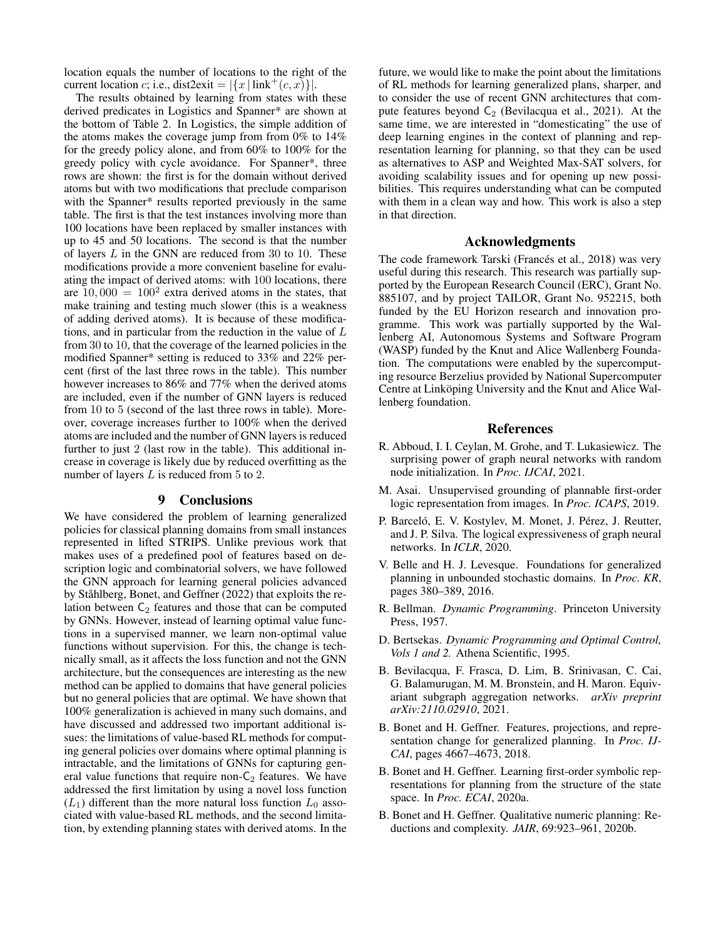location equals the number of locations to the right of the current location c; i.e., dist2exit =  $|\{x \mid \text{link}^+(c, x)\}|$ .

The results obtained by learning from states with these derived predicates in Logistics and Spanner\* are shown at the bottom of Table 2. In Logistics, the simple addition of the atoms makes the coverage jump from from 0% to 14% for the greedy policy alone, and from 60% to 100% for the greedy policy with cycle avoidance. For Spanner\*, three rows are shown: the first is for the domain without derived atoms but with two modifications that preclude comparison with the Spanner\* results reported previously in the same table. The first is that the test instances involving more than 100 locations have been replaced by smaller instances with up to 45 and 50 locations. The second is that the number of layers  $L$  in the GNN are reduced from 30 to 10. These modifications provide a more convenient baseline for evaluating the impact of derived atoms: with 100 locations, there are  $10,000 = 100<sup>2</sup>$  extra derived atoms in the states, that make training and testing much slower (this is a weakness of adding derived atoms). It is because of these modifications, and in particular from the reduction in the value of L from 30 to 10, that the coverage of the learned policies in the modified Spanner\* setting is reduced to 33% and 22% percent (first of the last three rows in the table). This number however increases to 86% and 77% when the derived atoms are included, even if the number of GNN layers is reduced from 10 to 5 (second of the last three rows in table). Moreover, coverage increases further to 100% when the derived atoms are included and the number of GNN layers is reduced further to just 2 (last row in the table). This additional increase in coverage is likely due by reduced overfitting as the number of layers L is reduced from 5 to 2.

#### 9 Conclusions

We have considered the problem of learning generalized policies for classical planning domains from small instances represented in lifted STRIPS. Unlike previous work that makes uses of a predefined pool of features based on description logic and combinatorial solvers, we have followed the GNN approach for learning general policies advanced by Ståhlberg, Bonet, and Geffner (2022) that exploits the relation between  $C_2$  features and those that can be computed by GNNs. However, instead of learning optimal value functions in a supervised manner, we learn non-optimal value functions without supervision. For this, the change is technically small, as it affects the loss function and not the GNN architecture, but the consequences are interesting as the new method can be applied to domains that have general policies but no general policies that are optimal. We have shown that 100% generalization is achieved in many such domains, and have discussed and addressed two important additional issues: the limitations of value-based RL methods for computing general policies over domains where optimal planning is intractable, and the limitations of GNNs for capturing general value functions that require non- $C_2$  features. We have addressed the first limitation by using a novel loss function  $(L_1)$  different than the more natural loss function  $L_0$  associated with value-based RL methods, and the second limitation, by extending planning states with derived atoms. In the

future, we would like to make the point about the limitations of RL methods for learning generalized plans, sharper, and to consider the use of recent GNN architectures that compute features beyond  $C_2$  (Bevilacqua et al., 2021). At the same time, we are interested in "domesticating" the use of deep learning engines in the context of planning and representation learning for planning, so that they can be used as alternatives to ASP and Weighted Max-SAT solvers, for avoiding scalability issues and for opening up new possibilities. This requires understanding what can be computed with them in a clean way and how. This work is also a step in that direction.

## Acknowledgments

The code framework Tarski (Francés et al., 2018) was very useful during this research. This research was partially supported by the European Research Council (ERC), Grant No. 885107, and by project TAILOR, Grant No. 952215, both funded by the EU Horizon research and innovation programme. This work was partially supported by the Wallenberg AI, Autonomous Systems and Software Program (WASP) funded by the Knut and Alice Wallenberg Foundation. The computations were enabled by the supercomputing resource Berzelius provided by National Supercomputer Centre at Linköping University and the Knut and Alice Wallenberg foundation.

#### References

- R. Abboud, I. I. Ceylan, M. Grohe, and T. Lukasiewicz. The surprising power of graph neural networks with random node initialization. In *Proc. IJCAI*, 2021.
- M. Asai. Unsupervised grounding of plannable first-order logic representation from images. In *Proc. ICAPS*, 2019.
- P. Barceló, E. V. Kostylev, M. Monet, J. Pérez, J. Reutter, and J. P. Silva. The logical expressiveness of graph neural networks. In *ICLR*, 2020.
- V. Belle and H. J. Levesque. Foundations for generalized planning in unbounded stochastic domains. In *Proc. KR*, pages 380–389, 2016.
- R. Bellman. *Dynamic Programming*. Princeton University Press, 1957.
- D. Bertsekas. *Dynamic Programming and Optimal Control, Vols 1 and 2.* Athena Scientific, 1995.
- B. Bevilacqua, F. Frasca, D. Lim, B. Srinivasan, C. Cai, G. Balamurugan, M. M. Bronstein, and H. Maron. Equivariant subgraph aggregation networks. *arXiv preprint arXiv:2110.02910*, 2021.
- B. Bonet and H. Geffner. Features, projections, and representation change for generalized planning. In *Proc. IJ-CAI*, pages 4667–4673, 2018.
- B. Bonet and H. Geffner. Learning first-order symbolic representations for planning from the structure of the state space. In *Proc. ECAI*, 2020a.
- B. Bonet and H. Geffner. Qualitative numeric planning: Reductions and complexity. *JAIR*, 69:923–961, 2020b.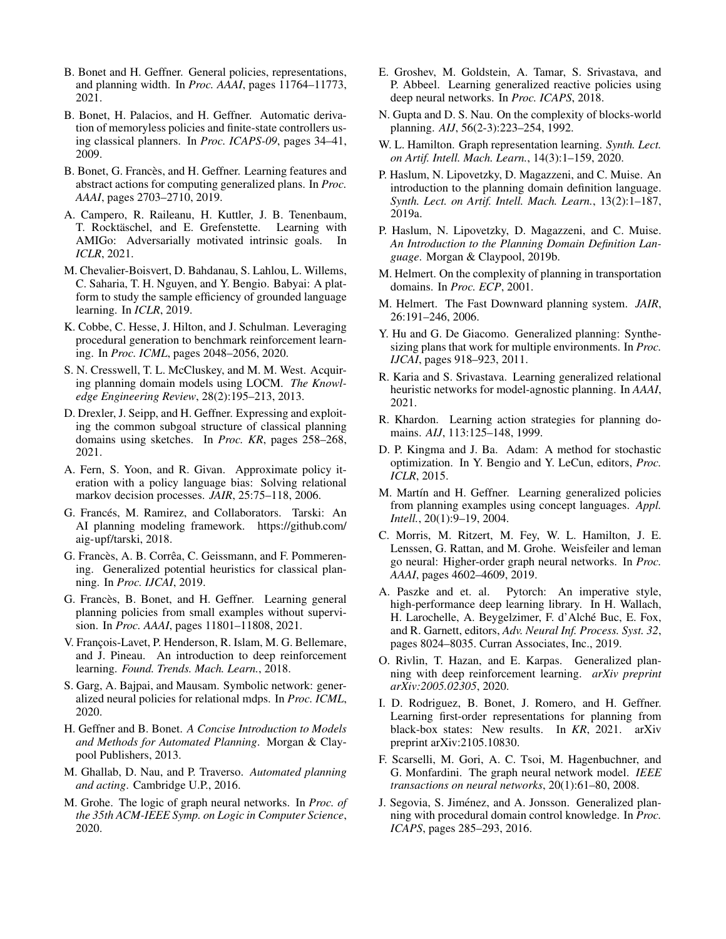- B. Bonet and H. Geffner. General policies, representations, and planning width. In *Proc. AAAI*, pages 11764–11773, 2021.
- B. Bonet, H. Palacios, and H. Geffner. Automatic derivation of memoryless policies and finite-state controllers using classical planners. In *Proc. ICAPS-09*, pages 34–41, 2009.
- B. Bonet, G. Francès, and H. Geffner. Learning features and abstract actions for computing generalized plans. In *Proc. AAAI*, pages 2703–2710, 2019.
- A. Campero, R. Raileanu, H. Kuttler, J. B. Tenenbaum, T. Rocktäschel, and E. Grefenstette. Learning with AMIGo: Adversarially motivated intrinsic goals. In *ICLR*, 2021.
- M. Chevalier-Boisvert, D. Bahdanau, S. Lahlou, L. Willems, C. Saharia, T. H. Nguyen, and Y. Bengio. Babyai: A platform to study the sample efficiency of grounded language learning. In *ICLR*, 2019.
- K. Cobbe, C. Hesse, J. Hilton, and J. Schulman. Leveraging procedural generation to benchmark reinforcement learning. In *Proc. ICML*, pages 2048–2056, 2020.
- S. N. Cresswell, T. L. McCluskey, and M. M. West. Acquiring planning domain models using LOCM. *The Knowledge Engineering Review*, 28(2):195–213, 2013.
- D. Drexler, J. Seipp, and H. Geffner. Expressing and exploiting the common subgoal structure of classical planning domains using sketches. In *Proc. KR*, pages 258–268, 2021.
- A. Fern, S. Yoon, and R. Givan. Approximate policy iteration with a policy language bias: Solving relational markov decision processes. *JAIR*, 25:75–118, 2006.
- G. Francés, M. Ramirez, and Collaborators. Tarski: An AI planning modeling framework. https://github.com/ aig-upf/tarski, 2018.
- G. Francès, A. B. Corrêa, C. Geissmann, and F. Pommerening. Generalized potential heuristics for classical planning. In *Proc. IJCAI*, 2019.
- G. Francès, B. Bonet, and H. Geffner. Learning general planning policies from small examples without supervision. In *Proc. AAAI*, pages 11801–11808, 2021.
- V. François-Lavet, P. Henderson, R. Islam, M. G. Bellemare, and J. Pineau. An introduction to deep reinforcement learning. *Found. Trends. Mach. Learn.*, 2018.
- S. Garg, A. Bajpai, and Mausam. Symbolic network: generalized neural policies for relational mdps. In *Proc. ICML*, 2020.
- H. Geffner and B. Bonet. *A Concise Introduction to Models and Methods for Automated Planning*. Morgan & Claypool Publishers, 2013.
- M. Ghallab, D. Nau, and P. Traverso. *Automated planning and acting*. Cambridge U.P., 2016.
- M. Grohe. The logic of graph neural networks. In *Proc. of the 35th ACM-IEEE Symp. on Logic in Computer Science*, 2020.
- E. Groshev, M. Goldstein, A. Tamar, S. Srivastava, and P. Abbeel. Learning generalized reactive policies using deep neural networks. In *Proc. ICAPS*, 2018.
- N. Gupta and D. S. Nau. On the complexity of blocks-world planning. *AIJ*, 56(2-3):223–254, 1992.
- W. L. Hamilton. Graph representation learning. *Synth. Lect. on Artif. Intell. Mach. Learn.*, 14(3):1–159, 2020.
- P. Haslum, N. Lipovetzky, D. Magazzeni, and C. Muise. An introduction to the planning domain definition language. *Synth. Lect. on Artif. Intell. Mach. Learn.*, 13(2):1–187, 2019a.
- P. Haslum, N. Lipovetzky, D. Magazzeni, and C. Muise. *An Introduction to the Planning Domain Definition Language*. Morgan & Claypool, 2019b.
- M. Helmert. On the complexity of planning in transportation domains. In *Proc. ECP*, 2001.
- M. Helmert. The Fast Downward planning system. *JAIR*, 26:191–246, 2006.
- Y. Hu and G. De Giacomo. Generalized planning: Synthesizing plans that work for multiple environments. In *Proc. IJCAI*, pages 918–923, 2011.
- R. Karia and S. Srivastava. Learning generalized relational heuristic networks for model-agnostic planning. In *AAAI*, 2021.
- R. Khardon. Learning action strategies for planning domains. *AIJ*, 113:125–148, 1999.
- D. P. Kingma and J. Ba. Adam: A method for stochastic optimization. In Y. Bengio and Y. LeCun, editors, *Proc. ICLR*, 2015.
- M. Martín and H. Geffner. Learning generalized policies from planning examples using concept languages. *Appl. Intell.*, 20(1):9–19, 2004.
- C. Morris, M. Ritzert, M. Fey, W. L. Hamilton, J. E. Lenssen, G. Rattan, and M. Grohe. Weisfeiler and leman go neural: Higher-order graph neural networks. In *Proc. AAAI*, pages 4602–4609, 2019.
- A. Paszke and et. al. Pytorch: An imperative style, high-performance deep learning library. In H. Wallach, H. Larochelle, A. Beygelzimer, F. d'Alché Buc, E. Fox, and R. Garnett, editors, *Adv. Neural Inf. Process. Syst. 32*, pages 8024–8035. Curran Associates, Inc., 2019.
- O. Rivlin, T. Hazan, and E. Karpas. Generalized planning with deep reinforcement learning. *arXiv preprint arXiv:2005.02305*, 2020.
- I. D. Rodriguez, B. Bonet, J. Romero, and H. Geffner. Learning first-order representations for planning from black-box states: New results. In *KR*, 2021. arXiv preprint arXiv:2105.10830.
- F. Scarselli, M. Gori, A. C. Tsoi, M. Hagenbuchner, and G. Monfardini. The graph neural network model. *IEEE transactions on neural networks*, 20(1):61–80, 2008.
- J. Segovia, S. Jiménez, and A. Jonsson. Generalized planning with procedural domain control knowledge. In *Proc. ICAPS*, pages 285–293, 2016.